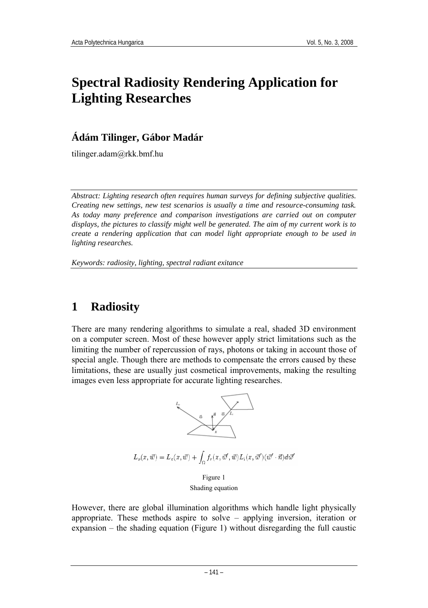# **Spectral Radiosity Rendering Application for Lighting Researches**

### **Ádám Tilinger, Gábor Madár**

tilinger.adam@rkk.bmf.hu

*Abstract: Lighting research often requires human surveys for defining subjective qualities. Creating new settings, new test scenarios is usually a time and resource-consuming task. As today many preference and comparison investigations are carried out on computer displays, the pictures to classify might well be generated. The aim of my current work is to create a rendering application that can model light appropriate enough to be used in lighting researches.* 

*Keywords: radiosity, lighting, spectral radiant exitance* 

# **1 Radiosity**

There are many rendering algorithms to simulate a real, shaded 3D environment on a computer screen. Most of these however apply strict limitations such as the limiting the number of repercussion of rays, photons or taking in account those of special angle. Though there are methods to compensate the errors caused by these limitations, these are usually just cosmetical improvements, making the resulting images even less appropriate for accurate lighting researches.



However, there are global illumination algorithms which handle light physically appropriate. These methods aspire to solve – applying inversion, iteration or expansion – the shading equation (Figure 1) without disregarding the full caustic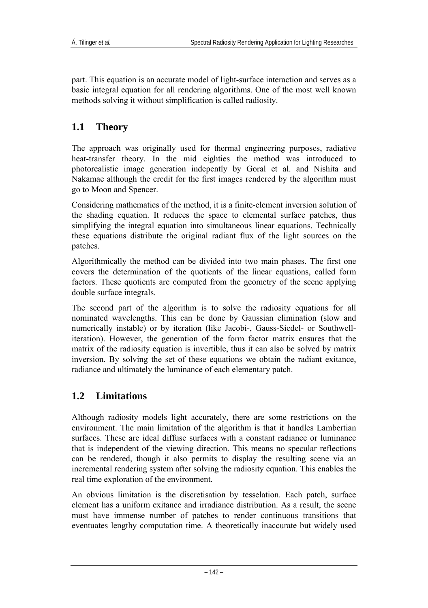part. This equation is an accurate model of light-surface interaction and serves as a basic integral equation for all rendering algorithms. One of the most well known methods solving it without simplification is called radiosity.

### **1.1 Theory**

The approach was originally used for thermal engineering purposes, radiative heat-transfer theory. In the mid eighties the method was introduced to photorealistic image generation indepently by Goral et al. and Nishita and Nakamae although the credit for the first images rendered by the algorithm must go to Moon and Spencer.

Considering mathematics of the method, it is a finite-element inversion solution of the shading equation. It reduces the space to elemental surface patches, thus simplifying the integral equation into simultaneous linear equations. Technically these equations distribute the original radiant flux of the light sources on the patches.

Algorithmically the method can be divided into two main phases. The first one covers the determination of the quotients of the linear equations, called form factors. These quotients are computed from the geometry of the scene applying double surface integrals.

The second part of the algorithm is to solve the radiosity equations for all nominated wavelengths. This can be done by Gaussian elimination (slow and numerically instable) or by iteration (like Jacobi-, Gauss-Siedel- or Southwelliteration). However, the generation of the form factor matrix ensures that the matrix of the radiosity equation is invertible, thus it can also be solved by matrix inversion. By solving the set of these equations we obtain the radiant exitance, radiance and ultimately the luminance of each elementary patch.

### **1.2 Limitations**

Although radiosity models light accurately, there are some restrictions on the environment. The main limitation of the algorithm is that it handles Lambertian surfaces. These are ideal diffuse surfaces with a constant radiance or luminance that is independent of the viewing direction. This means no specular reflections can be rendered, though it also permits to display the resulting scene via an incremental rendering system after solving the radiosity equation. This enables the real time exploration of the environment.

An obvious limitation is the discretisation by tesselation. Each patch, surface element has a uniform exitance and irradiance distribution. As a result, the scene must have immense number of patches to render continuous transitions that eventuates lengthy computation time. A theoretically inaccurate but widely used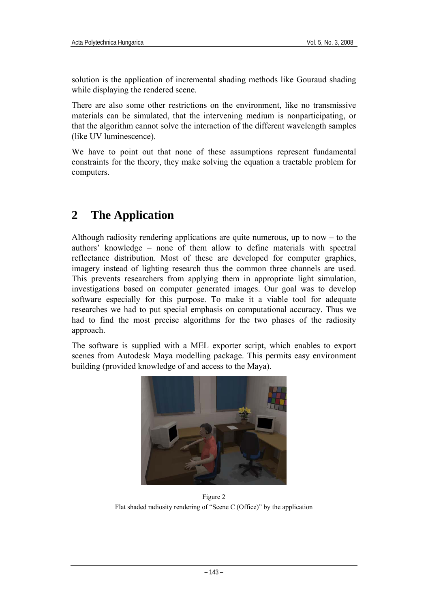solution is the application of incremental shading methods like Gouraud shading while displaying the rendered scene.

There are also some other restrictions on the environment, like no transmissive materials can be simulated, that the intervening medium is nonparticipating, or that the algorithm cannot solve the interaction of the different wavelength samples (like UV luminescence).

We have to point out that none of these assumptions represent fundamental constraints for the theory, they make solving the equation a tractable problem for computers.

## **2 The Application**

Although radiosity rendering applications are quite numerous, up to now – to the authors' knowledge – none of them allow to define materials with spectral reflectance distribution. Most of these are developed for computer graphics, imagery instead of lighting research thus the common three channels are used. This prevents researchers from applying them in appropriate light simulation, investigations based on computer generated images. Our goal was to develop software especially for this purpose. To make it a viable tool for adequate researches we had to put special emphasis on computational accuracy. Thus we had to find the most precise algorithms for the two phases of the radiosity approach.

The software is supplied with a MEL exporter script, which enables to export scenes from Autodesk Maya modelling package. This permits easy environment building (provided knowledge of and access to the Maya).



Figure 2 Flat shaded radiosity rendering of "Scene C (Office)" by the application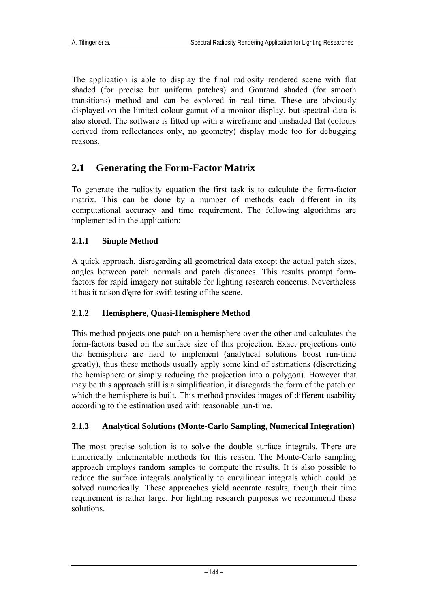The application is able to display the final radiosity rendered scene with flat shaded (for precise but uniform patches) and Gouraud shaded (for smooth transitions) method and can be explored in real time. These are obviously displayed on the limited colour gamut of a monitor display, but spectral data is also stored. The software is fitted up with a wireframe and unshaded flat (colours derived from reflectances only, no geometry) display mode too for debugging reasons.

### **2.1 Generating the Form-Factor Matrix**

To generate the radiosity equation the first task is to calculate the form-factor matrix. This can be done by a number of methods each different in its computational accuracy and time requirement. The following algorithms are implemented in the application:

#### **2.1.1 Simple Method**

A quick approach, disregarding all geometrical data except the actual patch sizes, angles between patch normals and patch distances. This results prompt formfactors for rapid imagery not suitable for lighting research concerns. Nevertheless it has it raison d'ętre for swift testing of the scene.

#### **2.1.2 Hemisphere, Quasi-Hemisphere Method**

This method projects one patch on a hemisphere over the other and calculates the form-factors based on the surface size of this projection. Exact projections onto the hemisphere are hard to implement (analytical solutions boost run-time greatly), thus these methods usually apply some kind of estimations (discretizing the hemisphere or simply reducing the projection into a polygon). However that may be this approach still is a simplification, it disregards the form of the patch on which the hemisphere is built. This method provides images of different usability according to the estimation used with reasonable run-time.

#### **2.1.3 Analytical Solutions (Monte-Carlo Sampling, Numerical Integration)**

The most precise solution is to solve the double surface integrals. There are numerically imlementable methods for this reason. The Monte-Carlo sampling approach employs random samples to compute the results. It is also possible to reduce the surface integrals analytically to curvilinear integrals which could be solved numerically. These approaches yield accurate results, though their time requirement is rather large. For lighting research purposes we recommend these solutions.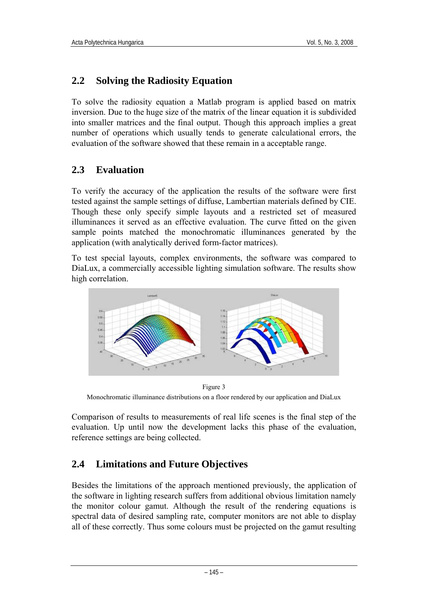### **2.2 Solving the Radiosity Equation**

To solve the radiosity equation a Matlab program is applied based on matrix inversion. Due to the huge size of the matrix of the linear equation it is subdivided into smaller matrices and the final output. Though this approach implies a great number of operations which usually tends to generate calculational errors, the evaluation of the software showed that these remain in a acceptable range.

### **2.3 Evaluation**

To verify the accuracy of the application the results of the software were first tested against the sample settings of diffuse, Lambertian materials defined by CIE. Though these only specify simple layouts and a restricted set of measured illuminances it served as an effective evaluation. The curve fitted on the given sample points matched the monochromatic illuminances generated by the application (with analytically derived form-factor matrices).

To test special layouts, complex environments, the software was compared to DiaLux, a commercially accessible lighting simulation software. The results show high correlation.



Figure 3 Monochromatic illuminance distributions on a floor rendered by our application and DiaLux

Comparison of results to measurements of real life scenes is the final step of the evaluation. Up until now the development lacks this phase of the evaluation, reference settings are being collected.

### **2.4 Limitations and Future Objectives**

Besides the limitations of the approach mentioned previously, the application of the software in lighting research suffers from additional obvious limitation namely the monitor colour gamut. Although the result of the rendering equations is spectral data of desired sampling rate, computer monitors are not able to display all of these correctly. Thus some colours must be projected on the gamut resulting